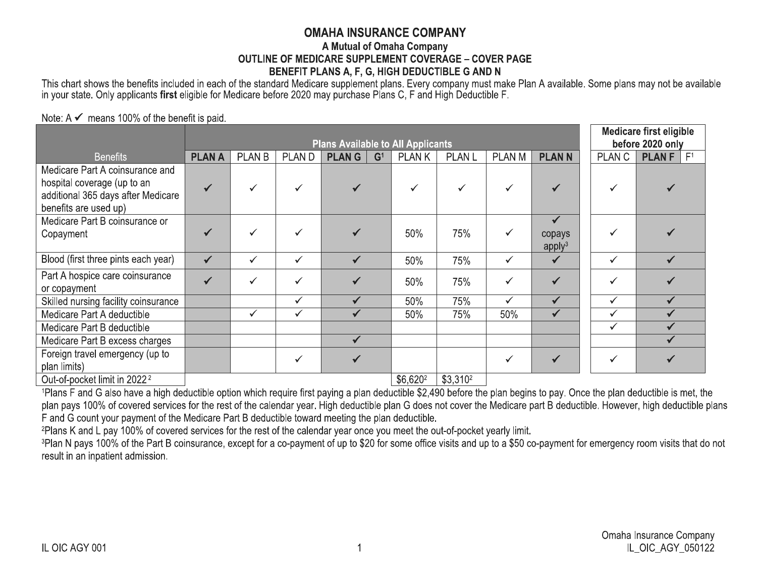## **OMAHA INSURANCE COMPANY**

## A Mutual of Omaha Company **OUTLINE OF MEDICARE SUPPLEMENT COVERAGE - COVER PAGE** BENEFIT PLANS A, F, G, HIGH DEDUCTIBLE G AND N

This chart shows the benefits included in each of the standard Medicare supplement plans. Every company must make Plan A available. Some plans may not be available in your state. Only applicants first eligible for Medicare before 2020 may purchase Plans C, F and High Deductible F.

Note:  $A \n\checkmark$  means 100% of the benefit is paid.

|                                                                                                                               |              | <b>Plans Available to All Applicants</b> |              |                                |                    |              |              |                                              |               | <b>Medicare first eligible</b><br>before 2020 only |  |
|-------------------------------------------------------------------------------------------------------------------------------|--------------|------------------------------------------|--------------|--------------------------------|--------------------|--------------|--------------|----------------------------------------------|---------------|----------------------------------------------------|--|
| <b>Benefits</b>                                                                                                               | <b>PLANA</b> | <b>PLAN B</b>                            | <b>PLAND</b> | <b>PLANG</b><br>G <sup>1</sup> | <b>PLANK</b>       | <b>PLANL</b> | PLAN M       | <b>PLANN</b>                                 | <b>PLAN C</b> | F <sup>1</sup><br><b>PLANF</b>                     |  |
| Medicare Part A coinsurance and<br>hospital coverage (up to an<br>additional 365 days after Medicare<br>benefits are used up) |              |                                          | ✓            |                                |                    | $\checkmark$ |              |                                              | ✓             |                                                    |  |
| Medicare Part B coinsurance or<br>Copayment                                                                                   |              |                                          |              |                                | 50%                | 75%          | $\checkmark$ | $\checkmark$<br>copays<br>apply <sup>3</sup> | ✓             |                                                    |  |
| Blood (first three pints each year)                                                                                           | $\checkmark$ | ✓                                        | ✓            | $\checkmark$                   | 50%                | 75%          | $\checkmark$ | $\checkmark$                                 | $\checkmark$  |                                                    |  |
| Part A hospice care coinsurance<br>or copayment                                                                               |              |                                          | ✓            |                                | 50%                | 75%          | ✓            |                                              | $\checkmark$  |                                                    |  |
| Skilled nursing facility coinsurance                                                                                          |              |                                          | ✓            | $\checkmark$                   | 50%                | 75%          | $\checkmark$ | $\checkmark$                                 | $\checkmark$  |                                                    |  |
| Medicare Part A deductible                                                                                                    |              | ✓                                        | ✓            | ✔                              | 50%                | 75%          | 50%          | $\checkmark$                                 | $\checkmark$  |                                                    |  |
| Medicare Part B deductible                                                                                                    |              |                                          |              |                                |                    |              |              |                                              | $\checkmark$  |                                                    |  |
| Medicare Part B excess charges                                                                                                |              |                                          |              | $\checkmark$                   |                    |              |              |                                              |               |                                                    |  |
| Foreign travel emergency (up to<br>plan limits)                                                                               |              |                                          | ✓            |                                |                    |              |              |                                              | $\checkmark$  |                                                    |  |
| $Q$ ut of nocket limit in 2022                                                                                                |              |                                          |              |                                | $R$ $R$ $R$ $2012$ | Q23102       |              |                                              |               |                                                    |  |

OUT-OT-POCKET IIMIT IN 2022 -

 $\begin{bmatrix} 0.020^{2} & 0.010^{2} \end{bmatrix}$ 

<sup>1</sup>Plans F and G also have a high deductible option which require first paying a plan deductible \$2,490 before the plan begins to pay. Once the plan deductible is met, the plan pays 100% of covered services for the rest of the calendar year. High deductible plan G does not cover the Medicare part B deductible. However, high deductible plans F and G count your payment of the Medicare Part B deductible toward meeting the plan deductible.

<sup>2</sup>Plans K and L pay 100% of covered services for the rest of the calendar year once you meet the out-of-pocket yearly limit.

<sup>3</sup>Plan N pays 100% of the Part B coinsurance, except for a co-payment of up to \$20 for some office visits and up to a \$50 co-payment for emergency room visits that do not result in an inpatient admission.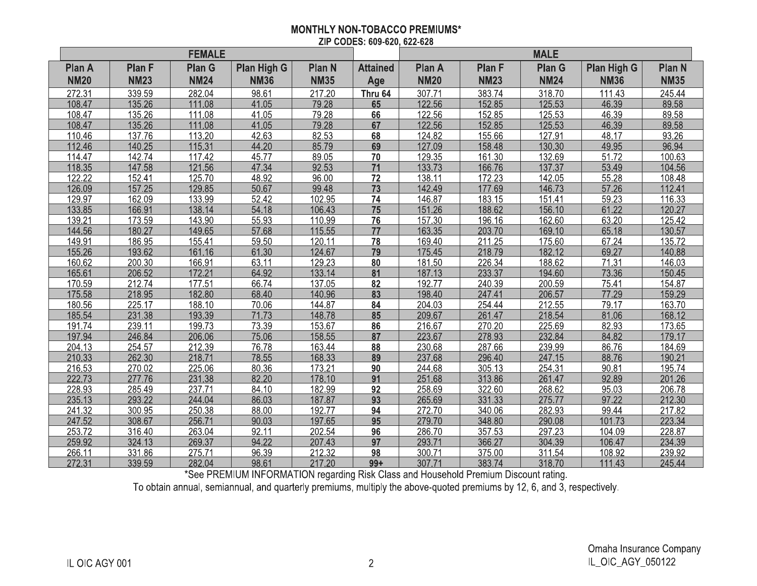### **MONTHLY NON-TOBACCO PREMIUMS\*** ZIP CODES: 609-620, 622-628

|               |               | <b>FEMALE</b> |                    |               |                 | <b>MALE</b>   |               |               |                    |               |
|---------------|---------------|---------------|--------------------|---------------|-----------------|---------------|---------------|---------------|--------------------|---------------|
| <b>Plan A</b> | <b>Plan F</b> | <b>Plan G</b> | <b>Plan High G</b> | <b>Plan N</b> | <b>Attained</b> | <b>Plan A</b> | <b>Plan F</b> | <b>Plan G</b> | <b>Plan High G</b> | <b>Plan N</b> |
| <b>NM20</b>   | <b>NM23</b>   | <b>NM24</b>   | <b>NM36</b>        | <b>NM35</b>   | Age             | <b>NM20</b>   | <b>NM23</b>   | <b>NM24</b>   | <b>NM36</b>        | <b>NM35</b>   |
| 272.31        | 339.59        | 282.04        | 98.61              | 217.20        | <b>Thru 64</b>  | 307.71        | 383.74        | 318.70        | 111.43             | 245.44        |
| 108.47        | 135.26        | 111.08        | 41.05              | 79.28         | 65              | 122.56        | 152.85        | 125.53        | 46.39              | 89.58         |
| 108.47        | 135.26        | 111.08        | 41.05              | 79.28         | 66              | 122.56        | 152.85        | 125.53        | 46.39              | 89.58         |
| 108.47        | 135.26        | 111.08        | 41.05              | 79.28         | 67              | 122.56        | 152.85        | 125.53        | 46.39              | 89.58         |
| 110.46        | 137.76        | 113.20        | 42.63              | 82.53         | 68              | 124.82        | 155.66        | 127.91        | 48.17              | 93.26         |
| 112.46        | 140.25        | 115.31        | 44.20              | 85.79         | 69              | 127.09        | 158.48        | 130.30        | 49.95              | 96.94         |
| 114.47        | 142.74        | 117.42        | 45.77              | 89.05         | 70              | 129.35        | 161.30        | 132.69        | 51.72              | 100.63        |
| 118.35        | 147.58        | 121.56        | 47.34              | 92.53         | 71              | 133.73        | 166.76        | 137.37        | 53.49              | 104.56        |
| 122.22        | 152.41        | 125.70        | 48.92              | 96.00         | 72              | 138.11        | 172.23        | 142.05        | 55.28              | 108.48        |
| 126.09        | 157.25        | 129.85        | 50.67              | 99.48         | 73              | 142.49        | 177.69        | 146.73        | 57.26              | 112.41        |
| 129.97        | 162.09        | 133.99        | 52.42              | 102.95        | 74              | 146.87        | 183.15        | 151.41        | 59.23              | 116.33        |
| 133.85        | 166.91        | 138.14        | 54.18              | 106.43        | 75              | 151.26        | 188.62        | 156.10        | 61.22              | 120.27        |
| 139.21        | 173.59        | 143.90        | 55.93              | 110.99        | 76              | 157.30        | 196.16        | 162.60        | 63.20              | 125.42        |
| 144.56        | 180.27        | 149.65        | 57.68              | 115.55        | 77              | 163.35        | 203.70        | 169.10        | 65.18              | 130.57        |
| 149.91        | 186.95        | 155.41        | 59.50              | 120.11        | 78              | 169.40        | 211.25        | 175.60        | 67.24              | 135.72        |
| 155.26        | 193.62        | 161.16        | 61.30              | 124.67        | 79              | 175.45        | 218.79        | 182.12        | 69.27              | 140.88        |
| 160.62        | 200.30        | 166.91        | 63.11              | 129.23        | 80              | 181.50        | 226.34        | 188.62        | 71.31              | 146.03        |
| 165.61        | 206.52        | 172.21        | 64.92              | 133.14        | 81              | 187.13        | 233.37        | 194.60        | 73.36              | 150.45        |
| 170.59        | 212.74        | 177.51        | 66.74              | 137.05        | 82              | 192.77        | 240.39        | 200.59        | 75.41              | 154.87        |
| 175.58        | 218.95        | 182.80        | 68.40              | 140.96        | 83              | 198.40        | 247.41        | 206.57        | 77.29              | 159.29        |
| 180.56        | 225.17        | 188.10        | 70.06              | 144.87        | 84              | 204.03        | 254.44        | 212.55        | 79.17              | 163.70        |
| 185.54        | 231.38        | 193.39        | 71.73              | 148.78        | 85              | 209.67        | 261.47        | 218.54        | 81.06              | 168.12        |
| 191.74        | 239.11        | 199.73        | 73.39              | 153.67        | 86              | 216.67        | 270.20        | 225.69        | 82.93              | 173.65        |
| 197.94        | 246.84        | 206.06        | 75.06              | 158.55        | 87              | 223.67        | 278.93        | 232.84        | 84.82              | 179.17        |
| 204.13        | 254.57        | 212.39        | 76.78              | 163.44        | 88              | 230.68        | 287.66        | 239.99        | 86.76              | 184.69        |
| 210.33        | 262.30        | 218.71        | 78.55              | 168.33        | 89              | 237.68        | 296.40        | 247.15        | 88.76              | 190.21        |
| 216.53        | 270.02        | 225.06        | 80.36              | 173.21        | 90              | 244.68        | 305.13        | 254.31        | 90.81              | 195.74        |
| 222.73        | 277.76        | 231.38        | 82.20              | 178.10        | 91              | 251.68        | 313.86        | 261.47        | 92.89              | 201.26        |
| 228.93        | 285.49        | 237.71        | 84.10              | 182.99        | 92              | 258.69        | 322.60        | 268.62        | 95.03              | 206.78        |
| 235.13        | 293.22        | 244.04        | 86.03              | 187.87        | 93              | 265.69        | 331.33        | 275.77        | 97.22              | 212.30        |
| 241.32        | 300.95        | 250.38        | 88.00              | 192.77        | 94              | 272.70        | 340.06        | 282.93        | 99.44              | 217.82        |
| 247.52        | 308.67        | 256.71        | 90.03              | 197.65        | 95              | 279.70        | 348.80        | 290.08        | 101.73             | 223.34        |
| 253.72        | 316.40        | 263.04        | 92.11              | 202.54        | 96              | 286.70        | 357.53        | 297.23        | 104.09             | 228.87        |
| 259.92        | 324.13        | 269.37        | 94.22              | 207.43        | 97              | 293.71        | 366.27        | 304.39        | 106.47             | 234.39        |
| 266.11        | 331.86        | 275.71        | 96.39              | 212.32        | 98              | 300.71        | 375.00        | 311.54        | 108.92             | 239.92        |
| 272.31        | 339.59        | 282.04        | 98.61              | 217.20        | $99+$           | 307.71        | 383.74        | 318.70        | 111.43             | 245.44        |

To obtain annual, semiannual, and quarterly premiums, multiply the above-quoted premium Discount rating.<br>To obtain annual, semiannual, and quarterly premiums, multiply the above-quoted premiums by 12, 6, and 3, respectivel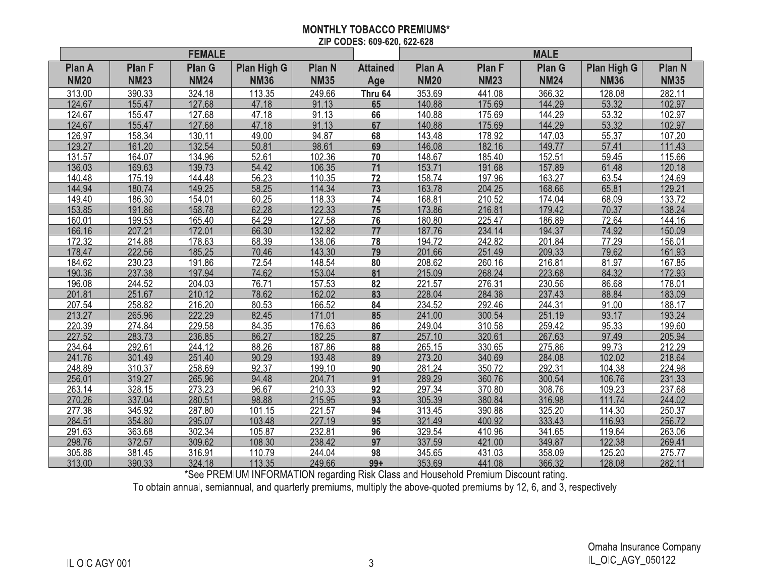## **MONTHLY TOBACCO PREMIUMS\*** ZIP CODES: 609-620, 622-628

|                              |                              | <b>FEMALE</b>                |                                   |                              |                        | <b>MALE</b>                  |                              |                              |                                   |                              |
|------------------------------|------------------------------|------------------------------|-----------------------------------|------------------------------|------------------------|------------------------------|------------------------------|------------------------------|-----------------------------------|------------------------------|
| <b>Plan A</b><br><b>NM20</b> | <b>Plan F</b><br><b>NM23</b> | <b>Plan G</b><br><b>NM24</b> | <b>Plan High G</b><br><b>NM36</b> | <b>Plan N</b><br><b>NM35</b> | <b>Attained</b><br>Age | <b>Plan A</b><br><b>NM20</b> | <b>Plan F</b><br><b>NM23</b> | <b>Plan G</b><br><b>NM24</b> | <b>Plan High G</b><br><b>NM36</b> | <b>Plan N</b><br><b>NM35</b> |
| 313.00                       | 390.33                       | 324.18                       | 113.35                            | 249.66                       | Thru 64                | 353.69                       | 441.08                       | 366.32                       | 128.08                            | 282.11                       |
| 124.67                       | 155.47                       | 127.68                       | 47.18                             | 91.13                        | 65                     | 140.88                       | 175.69                       | 144.29                       | 53.32                             | 102.97                       |
| 124.67                       | 155.47                       | 127.68                       | 47.18                             | 91.13                        | 66                     | 140.88                       | 175.69                       | 144.29                       | 53.32                             | 102.97                       |
| 124.67                       | 155.47                       | 127.68                       | 47.18                             | 91.13                        | 67                     | 140.88                       | 175.69                       | 144.29                       | 53.32                             | 102.97                       |
| 126.97                       | 158.34                       | 130.11                       | 49.00                             | 94.87                        | 68                     | 143.48                       | 178.92                       | 147.03                       | 55.37                             | 107.20                       |
| 129.27                       | 161.20                       | 132.54                       | 50.81                             | 98.61                        | 69                     | 146.08                       | 182.16                       | 149.77                       | 57.41                             | 111.43                       |
| 131.57                       | 164.07                       | 134.96                       | 52.61                             | 102.36                       | 70                     | 148.67                       | 185.40                       | 152.51                       | 59.45                             | 115.66                       |
| 136.03                       | 169.63                       | 139.73                       | 54.42                             | 106.35                       | 71                     | 153.71                       | 191.68                       | 157.89                       | 61.48                             | 120.18                       |
| 140.48                       | 175.19                       | 144.48                       | 56.23                             | 110.35                       | 72                     | 158.74                       | 197.96                       | 163.27                       | 63.54                             | 124.69                       |
| 144.94                       | 180.74                       | 149.25                       | 58.25                             | 114.34                       | 73                     | 163.78                       | 204.25                       | 168.66                       | 65.81                             | 129.21                       |
| 149.40                       | 186.30                       | 154.01                       | 60.25                             | 118.33                       | 74                     | 168.81                       | 210.52                       | 174.04                       | 68.09                             | 133.72                       |
| 153.85                       | 191.86                       | 158.78                       | 62.28                             | 122.33                       | 75                     | 173.86                       | 216.81                       | 179.42                       | 70.37                             | 138.24                       |
| 160.01                       | 199.53                       | 165.40                       | 64.29                             | 127.58                       | 76                     | 180.80                       | 225.47                       | 186.89                       | 72.64                             | 144.16                       |
| 166.16                       | 207.21                       | 172.01                       | 66.30                             | 132.82                       | 77                     | 187.76                       | 234.14                       | 194.37                       | 74.92                             | 150.09                       |
| 172.32                       | 214.88                       | 178.63                       | 68.39                             | 138.06                       | 78                     | 194.72                       | 242.82                       | 201.84                       | 77.29                             | 156.01                       |
| 178.47                       | 222.56                       | 185.25                       | 70.46                             | 143.30                       | 79                     | 201.66                       | 251.49                       | 209.33                       | 79.62                             | 161.93                       |
| 184.62                       | 230.23                       | 191.86                       | 72.54                             | 148.54                       | 80                     | 208.62                       | 260.16                       | 216.81                       | 81.97                             | 167.85                       |
| 190.36                       | 237.38                       | 197.94                       | 74.62                             | 153.04                       | $\overline{81}$        | 215.09                       | 268.24                       | 223.68                       | 84.32                             | 172.93                       |
| 196.08                       | 244.52                       | 204.03                       | 76.71                             | 157.53                       | 82                     | 221.57                       | 276.31                       | 230.56                       | 86.68                             | 178.01                       |
| 201.81                       | 251.67                       | 210.12                       | 78.62                             | 162.02                       | 83                     | 228.04                       | 284.38                       | 237.43                       | 88.84                             | 183.09                       |
| 207.54                       | 258.82                       | 216.20                       | 80.53                             | 166.52                       | 84                     | 234.52                       | 292.46                       | 244.31                       | 91.00                             | 188.17                       |
| 213.27                       | 265.96                       | 222.29                       | 82.45                             | 171.01                       | 85                     | 241.00                       | 300.54                       | 251.19                       | 93.17                             | 193.24                       |
| 220.39                       | 274.84                       | 229.58                       | 84.35                             | 176.63                       | 86                     | 249.04                       | 310.58                       | 259.42                       | 95.33                             | 199.60                       |
| 227.52                       | 283.73                       | 236.85                       | 86.27                             | 182.25                       | 87                     | 257.10                       | 320.61                       | 267.63                       | 97.49                             | 205.94                       |
| 234.64                       | 292.61                       | 244.12                       | 88.26                             | 187.86                       | 88                     | 265.15                       | 330.65                       | 275.86                       | 99.73                             | 212.29                       |
| 241.76                       | 301.49                       | 251.40                       | 90.29                             | 193.48                       | 89                     | 273.20                       | 340.69                       | 284.08                       | 102.02                            | 218.64                       |
| 248.89                       | 310.37                       | 258.69                       | 92.37                             | 199.10                       | 90                     | 281.24                       | 350.72                       | 292.31                       | 104.38                            | 224.98                       |
| 256.01                       | 319.27                       | 265.96                       | 94.48                             | 204.71                       | 91                     | 289.29                       | 360.76                       | 300.54                       | 106.76                            | 231.33                       |
| 263.14                       | 328.15                       | 273.23                       | 96.67                             | 210.33                       | 92                     | 297.34                       | 370.80                       | 308.76                       | 109.23                            | 237.68                       |
| 270.26                       | 337.04                       | 280.51                       | 98.88                             | 215.95                       | 93                     | 305.39                       | 380.84                       | 316.98                       | 111.74                            | 244.02                       |
| 277.38                       | 345.92                       | 287.80                       | 101.15                            | 221.57                       | 94                     | 313.45                       | 390.88                       | 325.20                       | 114.30                            | 250.37                       |
| 284.51                       | 354.80                       | 295.07                       | 103.48                            | 227.19                       | 95                     | 321.49                       | 400.92                       | 333.43                       | 116.93                            | 256.72                       |
| 291.63                       | 363.68                       | 302.34                       | 105.87                            | 232.81                       | 96                     | 329.54                       | 410.96                       | 341.65                       | 119.64                            | 263.06                       |
| 298.76                       | 372.57                       | 309.62                       | 108.30                            | 238.42                       | 97                     | 337.59                       | 421.00                       | 349.87                       | 122.38                            | 269.41                       |
| 305.88                       | 381.45                       | 316.91                       | 110.79                            | 244.04                       | 98                     | 345.65                       | 431.03                       | 358.09                       | 125.20                            | 275.77                       |
| 313.00                       | 390.33                       | 324.18                       | 113.35                            | 249.66                       | $99+$                  | 353.69                       | 441.08                       | 366.32                       | 128.08                            | 282.11                       |

See PREMIUM INFORMATION regarding Risk Class and Household Premium Discount rating.<br>To obtain annual, semiannual, and quarterly premiums, multiply the above-quoted premiums by 12, 6, and 3, respectively.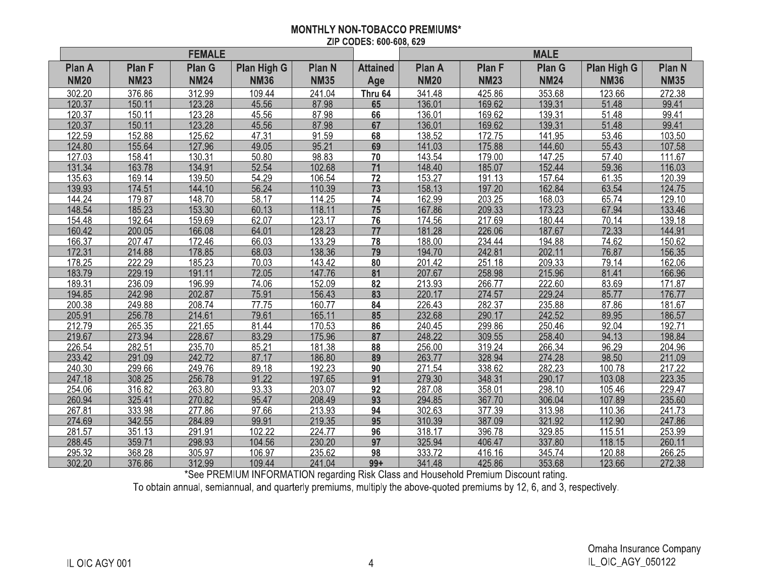## **MONTHLY NON-TOBACCO PREMIUMS\*** ZIP CODES: 600-608, 629

|                              |                              | <b>FEMALE</b>                |                                   |                              |                        | <b>MALE</b>                  |                              |                              |                                   |                              |
|------------------------------|------------------------------|------------------------------|-----------------------------------|------------------------------|------------------------|------------------------------|------------------------------|------------------------------|-----------------------------------|------------------------------|
| <b>Plan A</b><br><b>NM20</b> | <b>Plan F</b><br><b>NM23</b> | <b>Plan G</b><br><b>NM24</b> | <b>Plan High G</b><br><b>NM36</b> | <b>Plan N</b><br><b>NM35</b> | <b>Attained</b><br>Age | <b>Plan A</b><br><b>NM20</b> | <b>Plan F</b><br><b>NM23</b> | <b>Plan G</b><br><b>NM24</b> | <b>Plan High G</b><br><b>NM36</b> | <b>Plan N</b><br><b>NM35</b> |
| 302.20                       | 376.86                       | 312.99                       | 109.44                            | 241.04                       | Thru 64                | 341.48                       | 425.86                       | 353.68                       | 123.66                            | 272.38                       |
| 120.37                       | 150.11                       | 123.28                       | 45.56                             | 87.98                        | 65                     | 136.01                       | 169.62                       | 139.31                       | 51.48                             | 99.41                        |
| 120.37                       | 150.11                       | 123.28                       | 45.56                             | 87.98                        | 66                     | 136.01                       | 169.62                       | 139.31                       | 51.48                             | 99.41                        |
| 120.37                       | 150.11                       | 123.28                       | 45.56                             | 87.98                        | 67                     | 136.01                       | 169.62                       | 139.31                       | 51.48                             | 99.41                        |
| 122.59                       | 152.88                       | 125.62                       | 47.31                             | 91.59                        | 68                     | 138.52                       | 172.75                       | 141.95                       | 53.46                             | 103.50                       |
| 124.80                       | 155.64                       | 127.96                       | 49.05                             | 95.21                        | 69                     | 141.03                       | 175.88                       | 144.60                       | 55.43                             | 107.58                       |
| 127.03                       | 158.41                       | 130.31                       | 50.80                             | 98.83                        | 70                     | 143.54                       | 179.00                       | 147.25                       | 57.40                             | 111.67                       |
| 131.34                       | 163.78                       | 134.91                       | 52.54                             | 102.68                       | 71                     | 148.40                       | 185.07                       | 152.44                       | 59.36                             | 116.03                       |
| 135.63                       | 169.14                       | 139.50                       | 54.29                             | 106.54                       | 72                     | 153.27                       | 191.13                       | 157.64                       | 61.35                             | 120.39                       |
| 139.93                       | 174.51                       | 144.10                       | 56.24                             | 110.39                       | 73                     | 158.13                       | 197.20                       | 162.84                       | 63.54                             | 124.75                       |
| 144.24                       | 179.87                       | 148.70                       | 58.17                             | 114.25                       | 74                     | 162.99                       | 203.25                       | 168.03                       | 65.74                             | 129.10                       |
| 148.54                       | 185.23                       | 153.30                       | 60.13                             | 118.11                       | 75                     | 167.86                       | 209.33                       | 173.23                       | 67.94                             | 133.46                       |
| 154.48                       | 192.64                       | 159.69                       | 62.07                             | 123.17                       | 76                     | 174.56                       | 217.69                       | 180.44                       | 70.14                             | 139.18                       |
| 160.42                       | 200.05                       | 166.08                       | 64.01                             | 128.23                       | 77                     | 181.28                       | 226.06                       | 187.67                       | 72.33                             | 144.91                       |
| 166.37                       | 207.47                       | 172.46                       | 66.03                             | 133.29                       | 78                     | 188.00                       | 234.44                       | 194.88                       | 74.62                             | 150.62                       |
| 172.31                       | 214.88                       | 178.85                       | 68.03                             | 138.36                       | 79                     | 194.70                       | 242.81                       | 202.11                       | 76.87                             | 156.35                       |
| 178.25                       | 222.29                       | 185.23                       | 70.03                             | 143.42                       | 80                     | 201.42                       | 251.18                       | 209.33                       | 79.14                             | 162.06                       |
| 183.79                       | 229.19                       | 191.11                       | 72.05                             | 147.76                       | $\overline{81}$        | 207.67                       | 258.98                       | 215.96                       | 81.41                             | 166.96                       |
| 189.31                       | 236.09                       | 196.99                       | 74.06                             | 152.09                       | 82                     | 213.93                       | 266.77                       | 222.60                       | 83.69                             | 171.87                       |
| 194.85                       | 242.98                       | 202.87                       | 75.91                             | 156.43                       | 83                     | 220.17                       | 274.57                       | 229.24                       | 85.77                             | 176.77                       |
| 200.38                       | 249.88                       | 208.74                       | 77.75                             | 160.77                       | 84                     | 226.43                       | 282.37                       | 235.88                       | 87.86                             | 181.67                       |
| 205.91                       | 256.78                       | 214.61                       | 79.61                             | 165.11                       | 85                     | 232.68                       | 290.17                       | 242.52                       | 89.95                             | 186.57                       |
| 212.79                       | 265.35                       | 221.65                       | 81.44                             | 170.53                       | 86                     | 240.45                       | 299.86                       | 250.46                       | 92.04                             | 192.71                       |
| 219.67                       | 273.94                       | 228.67                       | 83.29                             | 175.96                       | 87                     | 248.22                       | 309.55                       | 258.40                       | 94.13                             | 198.84                       |
| 226.54                       | 282.51                       | 235.70                       | 85.21                             | 181.38                       | 88                     | 256.00                       | 319.24                       | 266.34                       | 96.29                             | 204.96                       |
| 233.42                       | 291.09                       | 242.72                       | 87.17                             | 186.80                       | 89                     | 263.77                       | 328.94                       | 274.28                       | 98.50                             | 211.09                       |
| 240.30                       | 299.66                       | 249.76                       | 89.18                             | 192.23                       | 90                     | 271.54                       | 338.62                       | 282.23                       | 100.78                            | 217.22                       |
| 247.18                       | 308.25                       | 256.78                       | 91.22                             | 197.65                       | 91                     | 279.30                       | 348.31                       | 290.17                       | 103.08                            | 223.35                       |
| 254.06                       | 316.82                       | 263.80                       | 93.33                             | 203.07                       | 92                     | 287.08                       | 358.01                       | 298.10                       | 105.46                            | 229.47                       |
| 260.94                       | 325.41                       | 270.82                       | 95.47                             | 208.49                       | 93                     | 294.85                       | 367.70                       | 306.04                       | 107.89                            | 235.60                       |
| 267.81                       | 333.98                       | 277.86                       | 97.66                             | 213.93                       | 94                     | 302.63                       | 377.39                       | 313.98                       | 110.36                            | 241.73                       |
| 274.69                       | 342.55                       | 284.89                       | 99.91                             | 219.35                       | 95                     | 310.39                       | 387.09                       | 321.92                       | 112.90                            | 247.86                       |
| 281.57                       | 351.13                       | 291.91                       | 102.22                            | 224.77                       | 96                     | 318.17                       | 396.78                       | 329.85                       | 115.51                            | 253.99                       |
| 288.45                       | 359.71                       | 298.93                       | 104.56                            | 230.20                       | $\overline{97}$        | 325.94                       | 406.47                       | 337.80                       | 118.15                            | 260.11                       |
| 295.32                       | 368.28                       | 305.97                       | 106.97                            | 235.62                       | 98                     | 333.72                       | 416.16                       | 345.74                       | 120.88                            | 266.25                       |
| 302.20                       | 376.86                       | 312.99                       | 109.44                            | 241.04                       | $99+$                  | 341.48                       | 425.86                       | 353.68                       | 123.66                            | 272.38                       |

selection of the process of the same three conditions and the condition of the section of the seeding.<br>To obtain annual, semiannual, and quarterly premiums, multiply the above-quoted premiums by 12, 6, and 3, respectively.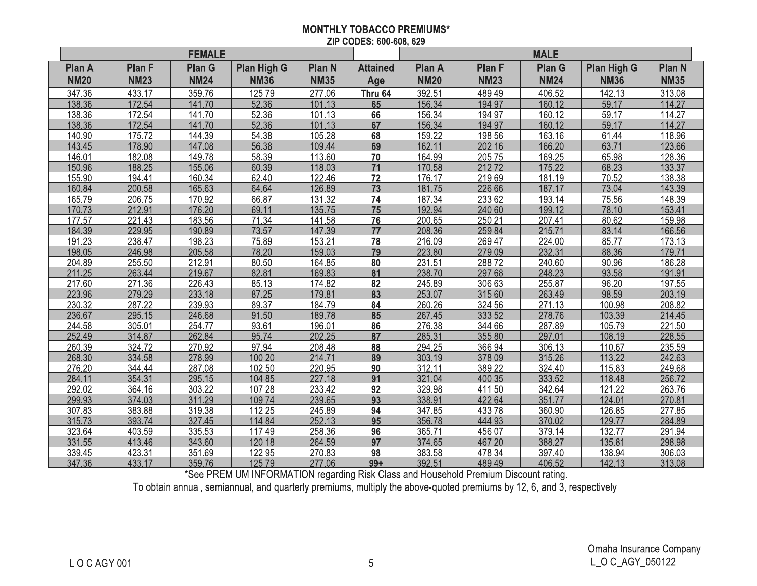## **MONTHLY TOBACCO PREMIUMS\*** ZIP CODES: 600-608, 629

|                              |                              | <b>FEMALE</b>                |                                   |                              |                        | <b>MALE</b>                  |                              |                              |                                   |                              |
|------------------------------|------------------------------|------------------------------|-----------------------------------|------------------------------|------------------------|------------------------------|------------------------------|------------------------------|-----------------------------------|------------------------------|
| <b>Plan A</b><br><b>NM20</b> | <b>Plan F</b><br><b>NM23</b> | <b>Plan G</b><br><b>NM24</b> | <b>Plan High G</b><br><b>NM36</b> | <b>Plan N</b><br><b>NM35</b> | <b>Attained</b><br>Age | <b>Plan A</b><br><b>NM20</b> | <b>Plan F</b><br><b>NM23</b> | <b>Plan G</b><br><b>NM24</b> | <b>Plan High G</b><br><b>NM36</b> | <b>Plan N</b><br><b>NM35</b> |
|                              |                              |                              |                                   |                              |                        |                              |                              |                              |                                   |                              |
| 347.36                       | 433.17                       | 359.76                       | 125.79                            | 277.06                       | Thru 64                | 392.51<br>156.34             | 489.49                       | 406.52                       | 142.13                            | 313.08                       |
| 138.36                       | 172.54                       | 141.70                       | 52.36                             | 101.13                       | 65                     |                              | 194.97                       | 160.12                       | 59.17                             | 114.27                       |
| 138.36                       | 172.54                       | 141.70                       | 52.36                             | 101.13                       | 66<br>67               | 156.34                       | 194.97                       | 160.12                       | 59.17<br>59.17                    | 114.27                       |
| 138.36                       | 172.54                       | 141.70                       | 52.36                             | 101.13                       |                        | 156.34                       | 194.97                       | 160.12                       |                                   | 114.27                       |
| 140.90<br>143.45             | 175.72<br>178.90             | 144.39<br>147.08             | 54.38<br>56.38                    | 105.28<br>109.44             | 68<br>69               | 159.22<br>162.11             | 198.56<br>202.16             | 163.16<br>166.20             | 61.44<br>63.71                    | 118.96<br>123.66             |
|                              |                              | 149.78                       |                                   |                              |                        | 164.99                       |                              |                              |                                   |                              |
| 146.01                       | 182.08                       |                              | 58.39                             | 113.60                       | 70                     |                              | 205.75                       | 169.25                       | 65.98                             | 128.36                       |
| 150.96                       | 188.25                       | 155.06                       | 60.39                             | 118.03                       | 71                     | 170.58                       | 212.72                       | 175.22                       | 68.23                             | 133.37                       |
| 155.90                       | 194.41                       | 160.34                       | 62.40                             | 122.46                       | 72                     | 176.17                       | 219.69                       | 181.19                       | 70.52                             | 138.38                       |
| 160.84                       | 200.58                       | 165.63                       | 64.64                             | 126.89                       | 73                     | 181.75                       | 226.66                       | 187.17                       | 73.04                             | 143.39                       |
| 165.79                       | 206.75                       | 170.92                       | 66.87                             | 131.32                       | 74                     | 187.34                       | 233.62                       | 193.14                       | 75.56                             | 148.39                       |
| 170.73                       | 212.91                       | 176.20                       | 69.11                             | 135.75                       | 75                     | 192.94                       | 240.60                       | 199.12                       | 78.10                             | 153.41                       |
| 177.57                       | 221.43                       | 183.56                       | 71.34                             | 141.58                       | 76                     | 200.65                       | 250.21                       | 207.41                       | 80.62                             | 159.98                       |
| 184.39                       | 229.95                       | 190.89                       | 73.57                             | 147.39                       | 77                     | 208.36                       | 259.84                       | 215.71                       | 83.14                             | 166.56                       |
| 191.23                       | 238.47                       | 198.23                       | 75.89                             | 153.21                       | 78                     | 216.09                       | 269.47                       | 224.00                       | 85.77                             | 173.13                       |
| 198.05                       | 246.98                       | 205.58                       | 78.20                             | 159.03                       | 79                     | 223.80                       | 279.09                       | 232.31                       | 88.36                             | 179.71                       |
| 204.89                       | 255.50                       | 212.91                       | 80.50                             | 164.85                       | 80                     | 231.51                       | 288.72                       | 240.60                       | 90.96                             | 186.28                       |
| 211.25                       | 263.44                       | 219.67                       | 82.81                             | 169.83                       | $\overline{81}$        | 238.70                       | 297.68                       | 248.23                       | 93.58                             | 191.91                       |
| 217.60                       | 271.36                       | 226.43                       | 85.13                             | 174.82                       | 82                     | 245.89                       | 306.63                       | 255.87                       | 96.20                             | 197.55                       |
| 223.96                       | 279.29                       | 233.18                       | 87.25                             | 179.81                       | 83                     | 253.07                       | 315.60                       | 263.49                       | 98.59                             | 203.19                       |
| 230.32                       | 287.22                       | 239.93                       | 89.37                             | 184.79                       | 84                     | 260.26                       | 324.56                       | 271.13                       | 100.98                            | 208.82                       |
| 236.67                       | 295.15                       | 246.68                       | 91.50                             | 189.78                       | 85                     | 267.45                       | 333.52                       | 278.76                       | 103.39                            | 214.45                       |
| 244.58                       | 305.01                       | 254.77                       | 93.61                             | 196.01                       | 86                     | 276.38                       | 344.66                       | 287.89                       | 105.79                            | 221.50                       |
| 252.49                       | 314.87                       | 262.84                       | 95.74                             | 202.25                       | 87                     | 285.31                       | 355.80                       | 297.01                       | 108.19                            | 228.55                       |
| 260.39                       | 324.72                       | 270.92                       | 97.94                             | 208.48                       | 88                     | 294.25                       | 366.94                       | 306.13                       | 110.67                            | 235.59                       |
| 268.30                       | 334.58                       | 278.99                       | 100.20                            | 214.71                       | 89                     | 303.19                       | 378.09                       | 315.26                       | 113.22                            | 242.63                       |
| 276.20                       | 344.44                       | 287.08                       | 102.50                            | 220.95                       | 90                     | 312.11                       | 389.22                       | 324.40                       | 115.83                            | 249.68                       |
| 284.11                       | 354.31                       | 295.15                       | 104.85                            | 227.18                       | 91                     | 321.04                       | 400.35                       | 333.52                       | 118.48                            | 256.72                       |
| 292.02                       | 364.16                       | 303.22                       | 107.28                            | 233.42                       | 92                     | 329.98                       | 411.50                       | 342.64                       | 121.22                            | 263.76                       |
| 299.93                       | 374.03                       | 311.29                       | 109.74                            | 239.65                       | 93                     | 338.91                       | 422.64                       | 351.77                       | 124.01                            | 270.81                       |
| 307.83                       | 383.88                       | 319.38                       | 112.25                            | 245.89                       | 94                     | 347.85                       | 433.78                       | 360.90                       | 126.85                            | 277.85                       |
| 315.73                       | 393.74                       | 327.45                       | 114.84                            | 252.13                       | 95                     | 356.78                       | 444.93                       | 370.02                       | 129.77                            | 284.89                       |
| 323.64                       | 403.59                       | 335.53                       | 117.49                            | 258.36                       | 96                     | 365.71                       | 456.07                       | 379.14                       | 132.77                            | 291.94                       |
| 331.55                       | 413.46                       | 343.60                       | 120.18                            | 264.59                       | $\overline{97}$        | 374.65                       | 467.20                       | 388.27                       | 135.81                            | 298.98                       |
| 339.45                       | 423.31                       | 351.69                       | 122.95                            | 270.83                       | 98                     | 383.58                       | 478.34                       | 397.40                       | 138.94                            | 306.03                       |
| 347.36                       | 433.17                       | 359.76                       | 125.79                            | 277.06                       | $99+$                  | 392.51                       | 489.49                       | 406.52                       | 142.13                            | 313.08                       |

section of the process of the section of the section of the section of the section of the section of the section of the section of the section of the section of the section of the section of the section of the section of t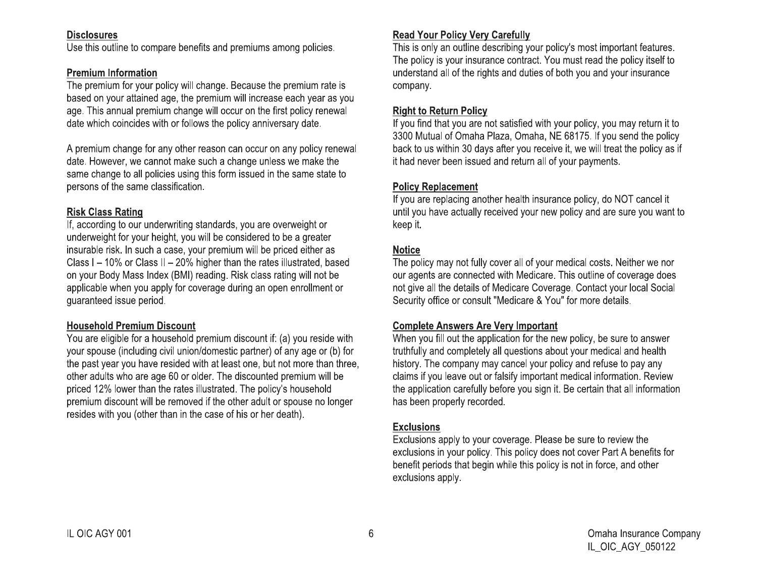## **Disclosures**

Use this outline to compare benefits and premiums among policies.

## **Premium Information**

The premium for your policy will change. Because the premium rate is based on your attained age, the premium will increase each year as you age. This annual premium change will occur on the first policy renewal date which coincides with or follows the policy anniversary date.

A premium change for any other reason can occur on any policy renewal date. However, we cannot make such a change unless we make the same change to all policies using this form issued in the same state to persons of the same classification.

## **Risk Class Rating**

If, according to our underwriting standards, you are overweight or underweight for your height, you will be considered to be a greater insurable risk. In such a case, your premium will be priced either as Class I – 10% or Class II – 20% higher than the rates illustrated, based on your Body Mass Index (BMI) reading. Risk class rating will not be applicable when you apply for coverage during an open enrollment or guaranteed issue period.

## **Household Premium Discount**

You are eligible for a household premium discount if: (a) you reside with your spouse (including civil union/domestic partner) of any age or (b) for the past year you have resided with at least one, but not more than three, other adults who are age 60 or older. The discounted premium will be priced 12% lower than the rates illustrated. The policy's household premium discount will be removed if the other adult or spouse no longer resides with you (other than in the case of his or her death).

## **Read Your Policy Very Carefully**

This is only an outline describing your policy's most important features. The policy is your insurance contract. You must read the policy itself to understand all of the rights and duties of both you and your insurance company.

## **Right to Return Policy**

If you find that you are not satisfied with your policy, you may return it to 3300 Mutual of Omaha Plaza, Omaha, NE 68175. If you send the policy back to us within 30 days after you receive it, we will treat the policy as if it had never been issued and return all of your payments.

## **Policy Replacement**

If you are replacing another health insurance policy, do NOT cancel it until you have actually received your new policy and are sure you want to keep it.

## **Notice**

The policy may not fully cover all of your medical costs. Neither we nor our agents are connected with Medicare. This outline of coverage does not give all the details of Medicare Coverage. Contact your local Social Security office or consult "Medicare & You" for more details.

## **Complete Answers Are Very Important**

When you fill out the application for the new policy, be sure to answer truthfully and completely all questions about your medical and health history. The company may cancel your policy and refuse to pay any claims if you leave out or falsify important medical information. Review the application carefully before you sign it. Be certain that all information has been properly recorded.

## **Exclusions**

Exclusions apply to your coverage. Please be sure to review the exclusions in your policy. This policy does not cover Part A benefits for benefit periods that begin while this policy is not in force, and other exclusions apply.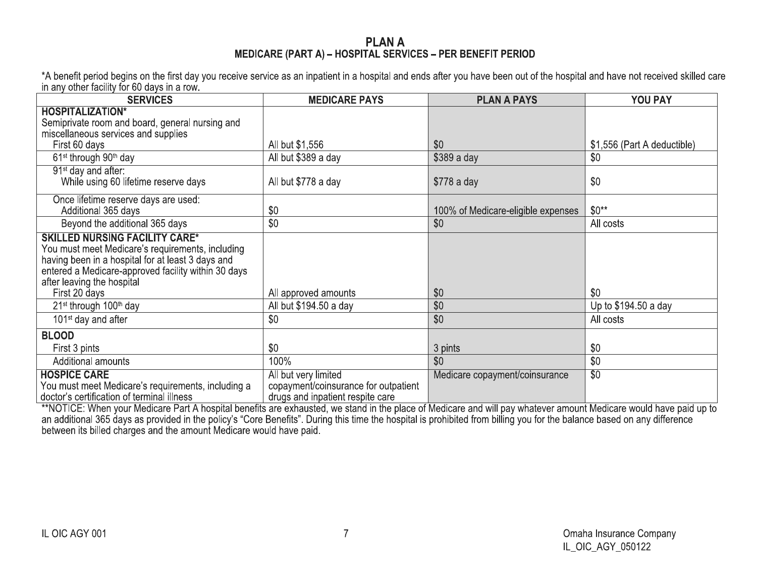## **PLANA** MEDICARE (PART A) - HOSPITAL SERVICES - PER BENEFIT PERIOD

\*A benefit period begins on the first day you receive service as an inpatient in a hospital and ends after you have been out of the hospital and have not received skilled care<br>in any other facility for 60 days in a row.

| <b>SERVICES</b>                                                                                                                                                                                                                     | <b>MEDICARE PAYS</b>                 | <b>PLAN A PAYS</b>                 | YOU PAY                     |
|-------------------------------------------------------------------------------------------------------------------------------------------------------------------------------------------------------------------------------------|--------------------------------------|------------------------------------|-----------------------------|
| <b>HOSPITALIZATION*</b>                                                                                                                                                                                                             |                                      |                                    |                             |
| Semiprivate room and board, general nursing and                                                                                                                                                                                     |                                      |                                    |                             |
| miscellaneous services and supplies                                                                                                                                                                                                 |                                      |                                    |                             |
| First 60 days                                                                                                                                                                                                                       | All but \$1,556                      | \$0                                | \$1,556 (Part A deductible) |
| 61 <sup>st</sup> through 90 <sup>th</sup> day                                                                                                                                                                                       | All but \$389 a day                  | \$389 a day                        | \$0                         |
| 91 <sup>st</sup> day and after:                                                                                                                                                                                                     |                                      |                                    |                             |
| While using 60 lifetime reserve days                                                                                                                                                                                                | All but \$778 a day                  | \$778 a day                        | \$0                         |
| Once lifetime reserve days are used:                                                                                                                                                                                                |                                      |                                    |                             |
| Additional 365 days                                                                                                                                                                                                                 | \$0                                  | 100% of Medicare-eligible expenses | $$0**$                      |
| Beyond the additional 365 days                                                                                                                                                                                                      | \$0                                  | \$0                                | All costs                   |
| <b>SKILLED NURSING FACILITY CARE*</b><br>You must meet Medicare's requirements, including<br>having been in a hospital for at least 3 days and<br>entered a Medicare-approved facility within 30 days<br>after leaving the hospital |                                      |                                    |                             |
| First 20 days                                                                                                                                                                                                                       | All approved amounts                 | \$0                                | \$0                         |
| 21 <sup>st</sup> through 100 <sup>th</sup> day                                                                                                                                                                                      | All but \$194.50 a day               | \$0                                | Up to \$194.50 a day        |
| 101 <sup>st</sup> day and after                                                                                                                                                                                                     | \$0                                  | \$0                                | All costs                   |
| <b>BLOOD</b>                                                                                                                                                                                                                        |                                      |                                    |                             |
| First 3 pints                                                                                                                                                                                                                       | \$0                                  | 3 pints                            | \$0                         |
| Additional amounts                                                                                                                                                                                                                  | 100%                                 | \$0                                | \$0                         |
| <b>HOSPICE CARE</b>                                                                                                                                                                                                                 | All but very limited                 | Medicare copayment/coinsurance     | $\overline{30}$             |
| You must meet Medicare's requirements, including a                                                                                                                                                                                  | copayment/coinsurance for outpatient |                                    |                             |
| doctor's certification of terminal illness                                                                                                                                                                                          | drugs and inpatient respite care     |                                    |                             |

and additional 365 days as provided in the policy's "Core Benefits". During this time the place of Medicare and will pay whatever amount Medicare would have paid up to<br>an additional 365 days as provided in the policy's "Co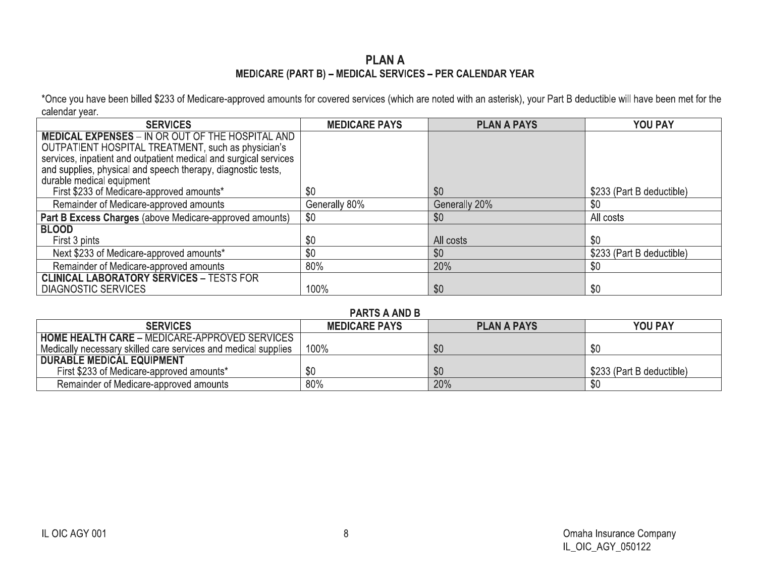## **PLANA** MEDICARE (PART B) - MEDICAL SERVICES - PER CALENDAR YEAR

\*Once you have been billed \$233 of Medicare-approved amounts for covered services (which are noted with an asterisk), your Part B deductible will have been met for the calendar year.

| <b>SERVICES</b>                                                  | <b>MEDICARE PAYS</b> | <b>PLAN A PAYS</b> | <b>YOU PAY</b>            |
|------------------------------------------------------------------|----------------------|--------------------|---------------------------|
| <b>MEDICAL EXPENSES - IN OR OUT OF THE HOSPITAL AND</b>          |                      |                    |                           |
| OUTPATIENT HOSPITAL TREATMENT, such as physician's               |                      |                    |                           |
| services, inpatient and outpatient medical and surgical services |                      |                    |                           |
| and supplies, physical and speech therapy, diagnostic tests,     |                      |                    |                           |
| durable medical equipment                                        |                      |                    |                           |
| First \$233 of Medicare-approved amounts*                        | \$0                  | \$0                | \$233 (Part B deductible) |
| Remainder of Medicare-approved amounts                           | Generally 80%        | Generally 20%      | \$0                       |
| Part B Excess Charges (above Medicare-approved amounts)          | \$0                  | \$0                | All costs                 |
| <b>BLOOD</b>                                                     |                      |                    |                           |
| First 3 pints                                                    | \$0                  | All costs          | \$0                       |
| Next \$233 of Medicare-approved amounts*                         | \$0                  | \$0                | \$233 (Part B deductible) |
| Remainder of Medicare-approved amounts                           | 80%                  | 20%                | \$0                       |
| <b>CLINICAL LABORATORY SERVICES - TESTS FOR</b>                  |                      |                    |                           |
| <b>DIAGNOSTIC SERVICES</b>                                       | 100%                 | \$0                | \$0                       |

## **PARTS A AND R**

| .                                                              |                      |                    |                           |  |  |  |  |  |
|----------------------------------------------------------------|----------------------|--------------------|---------------------------|--|--|--|--|--|
| <b>SERVICES</b>                                                | <b>MEDICARE PAYS</b> | <b>PLAN A PAYS</b> | <b>YOU PAY</b>            |  |  |  |  |  |
| <b>HOME HEALTH CARE - MEDICARE-APPROVED SERVICES</b>           |                      |                    |                           |  |  |  |  |  |
| Medically necessary skilled care services and medical supplies | 100%                 | \$0                | <b>C</b>                  |  |  |  |  |  |
| <b>DURABLE MEDICAL EQUIPMENT</b>                               |                      |                    |                           |  |  |  |  |  |
| First \$233 of Medicare-approved amounts*                      |                      | \$0                | \$233 (Part B deductible) |  |  |  |  |  |
| Remainder of Medicare-approved amounts                         | 80%                  | 20%                |                           |  |  |  |  |  |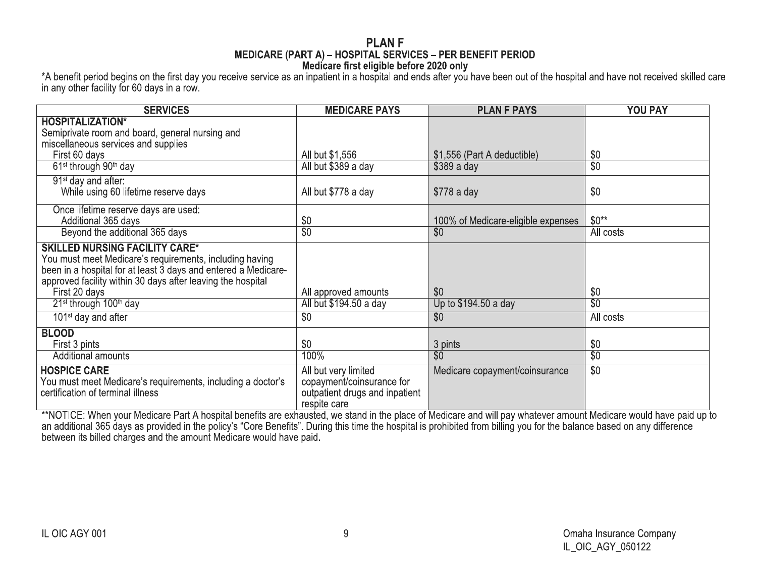### **PLANF** MEDICARE (PART A) - HOSPITAL SERVICES - PER BENEFIT PERIOD Medicare first eligible before 2020 only

\*A benefit period begins on the first day you receive service as an inpatient in a hospital and ends after you have been out of the hospital and have not received skilled care in any other facility for 60 days in a row.

| <b>SERVICES</b>                                                                                  | <b>MEDICARE PAYS</b>                           | <b>PLAN F PAYS</b>                 | <b>YOU PAY</b>         |
|--------------------------------------------------------------------------------------------------|------------------------------------------------|------------------------------------|------------------------|
| <b>HOSPITALIZATION*</b>                                                                          |                                                |                                    |                        |
| Semiprivate room and board, general nursing and                                                  |                                                |                                    |                        |
| miscellaneous services and supplies                                                              |                                                |                                    |                        |
| First 60 days                                                                                    | All but \$1,556                                | \$1,556 (Part A deductible)        | \$0                    |
| 61 <sup>st</sup> through 90 <sup>th</sup> day                                                    | All but \$389 a day                            | $$389a$ day                        | \$0                    |
| 91 <sup>st</sup> day and after:                                                                  |                                                |                                    |                        |
| While using 60 lifetime reserve days                                                             | All but \$778 a day                            | \$778 a day                        | \$0                    |
| Once lifetime reserve days are used:                                                             |                                                |                                    |                        |
| Additional 365 days                                                                              | \$0                                            | 100% of Medicare-eligible expenses | $$0**$                 |
| Beyond the additional 365 days                                                                   | $\overline{50}$                                | $\overline{50}$                    | All costs              |
| <b>SKILLED NURSING FACILITY CARE*</b><br>You must meet Medicare's requirements, including having |                                                |                                    |                        |
| been in a hospital for at least 3 days and entered a Medicare-                                   |                                                |                                    |                        |
| approved facility within 30 days after leaving the hospital                                      |                                                |                                    |                        |
| First 20 days<br>21 <sup>st</sup> through 100 <sup>th</sup> day                                  | All approved amounts<br>All but \$194.50 a day | \$0<br>Up to \$194.50 a day        | \$0<br>$\overline{30}$ |
|                                                                                                  |                                                |                                    |                        |
| 101 <sup>st</sup> day and after                                                                  | \$0                                            | $\overline{50}$                    | All costs              |
| <b>BLOOD</b>                                                                                     |                                                |                                    |                        |
| First 3 pints                                                                                    | \$0                                            | 3 pints                            | \$0                    |
| Additional amounts                                                                               | 100%                                           | $\overline{50}$                    | $\overline{30}$        |
| <b>HOSPICE CARE</b>                                                                              | All but very limited                           | Medicare copayment/coinsurance     | $\overline{50}$        |
| You must meet Medicare's requirements, including a doctor's                                      | copayment/coinsurance for                      |                                    |                        |
| certification of terminal illness                                                                | outpatient drugs and inpatient<br>respite care |                                    |                        |
|                                                                                                  |                                                |                                    |                        |

A Anti-time place of Medicare Part A hospital benefits are exhausted, we stand in the place of Medicare and will pay whatever amount Medicare would have paid up to<br>an additional 365 days as provided in the policy's "Core B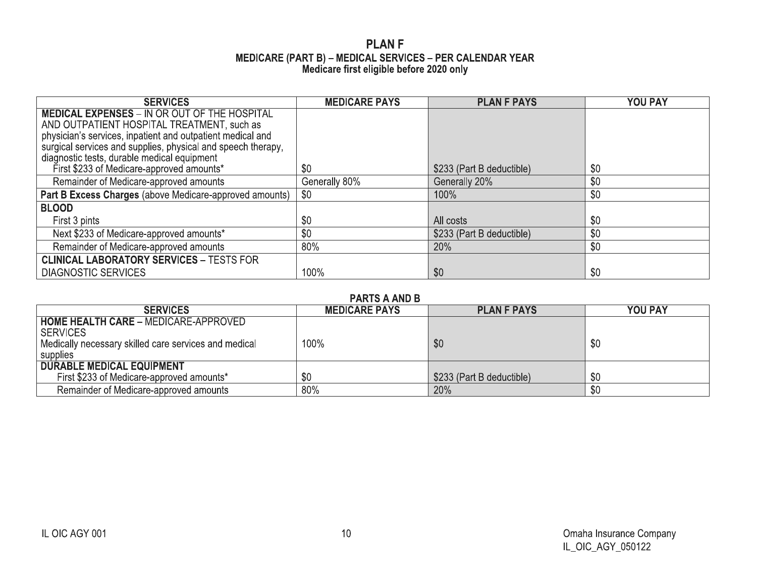## **PLANF** MEDICARE (PART B) – MEDICAL SERVICES – PER CALENDAR YEAR<br>Medicare first eligible before 2020 only

| <b>SERVICES</b>                                                                                             | <b>MEDICARE PAYS</b> | <b>PLAN F PAYS</b>        | YOU PAY |
|-------------------------------------------------------------------------------------------------------------|----------------------|---------------------------|---------|
| <b>MEDICAL EXPENSES - IN OR OUT OF THE HOSPITAL</b>                                                         |                      |                           |         |
| AND OUTPATIENT HOSPITAL TREATMENT, such as                                                                  |                      |                           |         |
| physician's services, inpatient and outpatient medical and                                                  |                      |                           |         |
| surgical services and supplies, physical and speech therapy,<br>diagnostic tests, durable medical equipment |                      |                           |         |
| First \$233 of Medicare-approved amounts*                                                                   | \$0                  | \$233 (Part B deductible) | \$0     |
|                                                                                                             |                      |                           |         |
| Remainder of Medicare-approved amounts                                                                      | Generally 80%        | Generally 20%             | \$0     |
| Part B Excess Charges (above Medicare-approved amounts)                                                     | \$0                  | 100%                      | \$0     |
| <b>BLOOD</b>                                                                                                |                      |                           |         |
| First 3 pints                                                                                               | \$0                  | All costs                 | \$0     |
| Next \$233 of Medicare-approved amounts*                                                                    | \$0                  | \$233 (Part B deductible) | \$0     |
| Remainder of Medicare-approved amounts                                                                      | 80%                  | 20%                       | \$0     |
| <b>CLINICAL LABORATORY SERVICES - TESTS FOR</b>                                                             |                      |                           |         |
| <b>DIAGNOSTIC SERVICES</b>                                                                                  | 100%                 | \$0                       | \$0     |

## **PARTS A AND B**

| <b>SERVICES</b>                                       | <b>MEDICARE PAYS</b> | <b>PLAN F PAYS</b>        | <b>YOU PAY</b> |
|-------------------------------------------------------|----------------------|---------------------------|----------------|
| <b>HOME HEALTH CARE - MEDICARE-APPROVED</b>           |                      |                           |                |
| <b>SERVICES</b>                                       |                      |                           |                |
| Medically necessary skilled care services and medical | 100%                 | \$0                       | \$0            |
| supplies                                              |                      |                           |                |
| <b>DURABLE MEDICAL EQUIPMENT</b>                      |                      |                           |                |
| First \$233 of Medicare-approved amounts*             | \$0                  | \$233 (Part B deductible) | \$0            |
| Remainder of Medicare-approved amounts                | 80%                  | 20%                       | \$0            |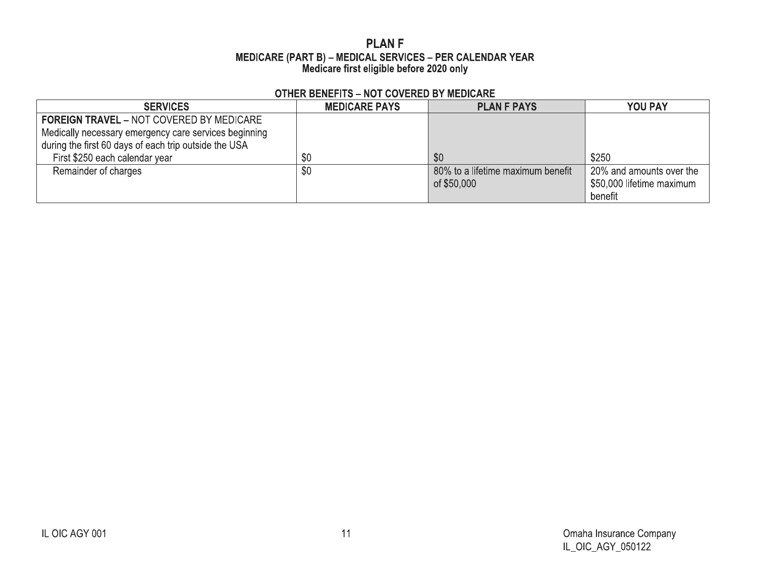## **PLANF** MEDICARE (PART B) – MEDICAL SERVICES – PER CALENDAR YEAR<br>Medicare first eligible before 2020 only

## **OTHER BENEFITS - NOT COVERED BY MEDICARE**

| <b>SERVICES</b>                                                                                          | <b>MEDICARE PAYS</b> | <b>PLAN F PAYS</b>                               | <b>YOU PAY</b>                                                   |
|----------------------------------------------------------------------------------------------------------|----------------------|--------------------------------------------------|------------------------------------------------------------------|
| <b>FOREIGN TRAVEL - NOT COVERED BY MEDICARE</b><br>Medically necessary emergency care services beginning |                      |                                                  |                                                                  |
| during the first 60 days of each trip outside the USA<br>First \$250 each calendar year                  | \$0                  | \$0                                              | \$250                                                            |
| Remainder of charges                                                                                     | \$0                  | 80% to a lifetime maximum benefit<br>of \$50,000 | 20% and amounts over the<br>\$50,000 lifetime maximum<br>benefit |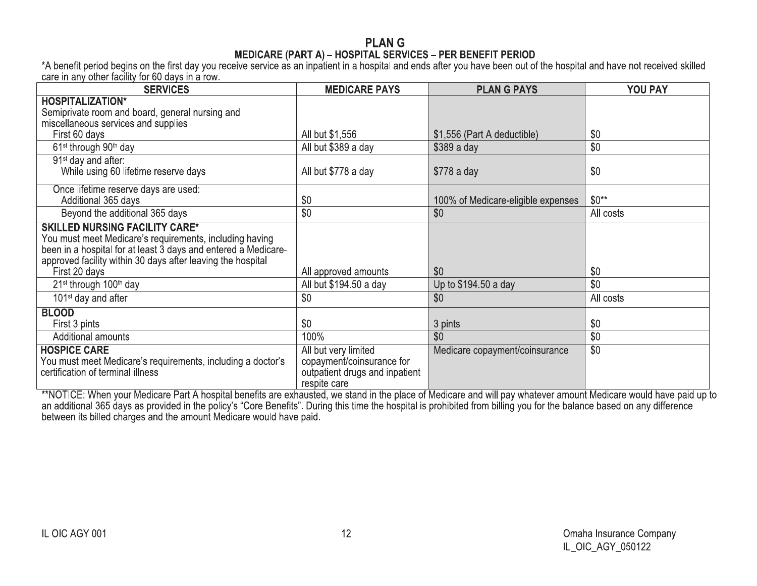| care in any other facility for 60 days in a row.                                                                                                                                                                                                   |                                                                                                     |                                    |                 |
|----------------------------------------------------------------------------------------------------------------------------------------------------------------------------------------------------------------------------------------------------|-----------------------------------------------------------------------------------------------------|------------------------------------|-----------------|
| <b>SERVICES</b>                                                                                                                                                                                                                                    | <b>MEDICARE PAYS</b>                                                                                | <b>PLAN G PAYS</b>                 | <b>YOU PAY</b>  |
| <b>HOSPITALIZATION*</b><br>Semiprivate room and board, general nursing and<br>miscellaneous services and supplies<br>First 60 days                                                                                                                 | All but \$1,556                                                                                     | \$1,556 (Part A deductible)        | \$0             |
| 61 <sup>st</sup> through 90 <sup>th</sup> day                                                                                                                                                                                                      | All but \$389 a day                                                                                 | \$389 a day                        | \$0             |
| 91 <sup>st</sup> day and after:<br>While using 60 lifetime reserve days                                                                                                                                                                            | All but \$778 a day                                                                                 | \$778 a day                        | \$0             |
| Once lifetime reserve days are used:<br>Additional 365 days                                                                                                                                                                                        | \$0                                                                                                 | 100% of Medicare-eligible expenses | $$0**$          |
| Beyond the additional 365 days                                                                                                                                                                                                                     | \$0                                                                                                 | \$0                                | All costs       |
| <b>SKILLED NURSING FACILITY CARE*</b><br>You must meet Medicare's requirements, including having<br>been in a hospital for at least 3 days and entered a Medicare-<br>approved facility within 30 days after leaving the hospital<br>First 20 days | All approved amounts                                                                                | \$0                                | \$0             |
| 21 <sup>st</sup> through 100 <sup>th</sup> day                                                                                                                                                                                                     | All but \$194.50 a day                                                                              | Up to \$194.50 a day               | $\overline{30}$ |
| $101st$ day and after                                                                                                                                                                                                                              | \$0                                                                                                 | \$0                                | All costs       |
| <b>BLOOD</b><br>First 3 pints                                                                                                                                                                                                                      | \$0                                                                                                 | 3 pints                            | \$0             |
| Additional amounts                                                                                                                                                                                                                                 | 100%                                                                                                | \$0                                | \$0             |
| <b>HOSPICE CARE</b><br>You must meet Medicare's requirements, including a doctor's<br>certification of terminal illness                                                                                                                            | All but very limited<br>copayment/coinsurance for<br>outpatient drugs and inpatient<br>respite care | Medicare copayment/coinsurance     | $\overline{50}$ |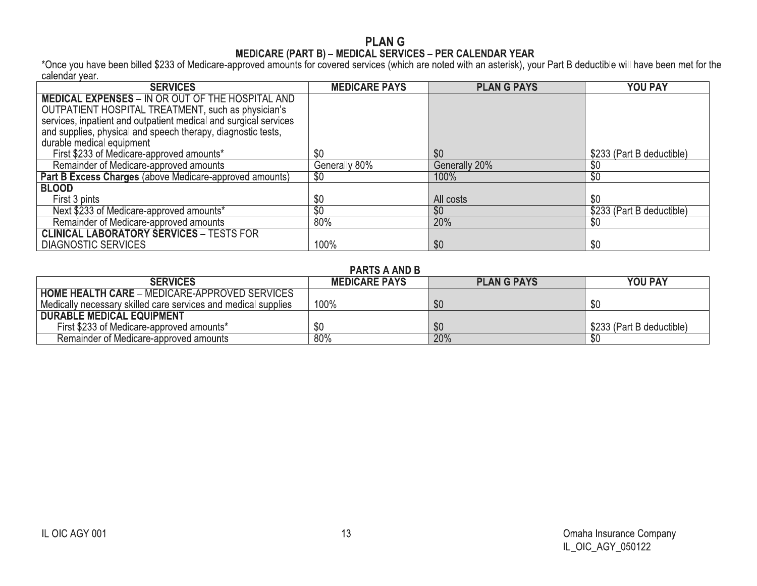# **PLANG**

MEDICARE (PART B) – MEDICAL SERVICES – PER CALENDAR YEAR<br>Calendar year.<br>Calendar year.

| <b>SERVICES</b>                                                  | <b>MEDICARE PAYS</b> | <b>PLAN G PAYS</b> | <b>YOU PAY</b>            |
|------------------------------------------------------------------|----------------------|--------------------|---------------------------|
| <b>MEDICAL EXPENSES - IN OR OUT OF THE HOSPITAL AND</b>          |                      |                    |                           |
| OUTPATIENT HOSPITAL TREATMENT, such as physician's               |                      |                    |                           |
| services, inpatient and outpatient medical and surgical services |                      |                    |                           |
| and supplies, physical and speech therapy, diagnostic tests,     |                      |                    |                           |
| durable medical equipment                                        |                      |                    |                           |
| First \$233 of Medicare-approved amounts*                        | \$0                  | \$0                | \$233 (Part B deductible) |
| Remainder of Medicare-approved amounts                           | Generally 80%        | Generally 20%      | \$0                       |
| Part B Excess Charges (above Medicare-approved amounts)          | \$0                  | 100%               | $\sqrt[6]{30}$            |
| <b>BLOOD</b>                                                     |                      |                    |                           |
| First 3 pints                                                    | \$0                  | All costs          | \$0                       |
| Next \$233 of Medicare-approved amounts*                         | $\overline{50}$      | \$0                | \$233 (Part B deductible) |
| Remainder of Medicare-approved amounts                           | $80\%$               | 20%                | \$0                       |
| <b>CLINICAL LABORATORY SERVICES - TESTS FOR</b>                  |                      |                    |                           |
| <b>DIAGNOSTIC SERVICES</b>                                       | 100%                 | \$0                | \$0                       |

## **PARTS A AND B**

| <b>SERVICES</b>                                                | <b>MEDICARE PAYS</b> | <b>PLANG PAYS</b> | <b>YOU PAY</b>            |
|----------------------------------------------------------------|----------------------|-------------------|---------------------------|
| <b>HOME HEALTH CARE - MEDICARE-APPROVED SERVICES</b>           |                      |                   |                           |
| Medically necessary skilled care services and medical supplies | 100%                 | \$0               | \$0                       |
| <b>DURABLE MEDICAL EQUIPMENT</b>                               |                      |                   |                           |
| First \$233 of Medicare-approved amounts*                      |                      | \$0               | \$233 (Part B deductible) |
| Remainder of Medicare-approved amounts                         | 80%                  | 20%               |                           |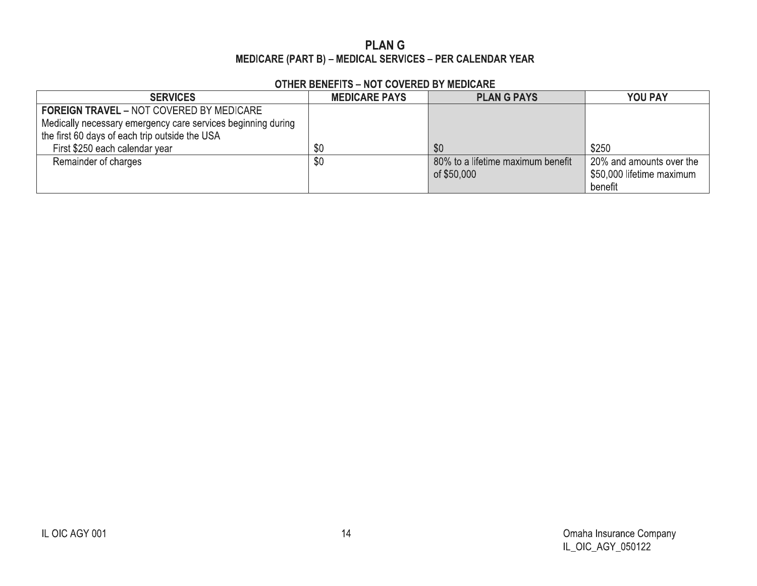## **PLANG** MEDICARE (PART B) - MEDICAL SERVICES - PER CALENDAR YEAR

## **OTHER BENEFITS - NOT COVERED BY MEDICARE**

| <b>SERVICES</b>                                              | <b>MEDICARE PAYS</b> | <b>PLANG PAYS</b>                 | <b>YOU PAY</b>            |
|--------------------------------------------------------------|----------------------|-----------------------------------|---------------------------|
| <b>FOREIGN TRAVEL - NOT COVERED BY MEDICARE</b>              |                      |                                   |                           |
| Medically necessary emergency care services beginning during |                      |                                   |                           |
| the first 60 days of each trip outside the USA               |                      |                                   |                           |
| First \$250 each calendar year                               | \$0                  | \$0                               | \$250                     |
| Remainder of charges                                         | \$0                  | 80% to a lifetime maximum benefit | 20% and amounts over the  |
|                                                              |                      | of \$50,000                       | \$50,000 lifetime maximum |
|                                                              |                      |                                   | benefit                   |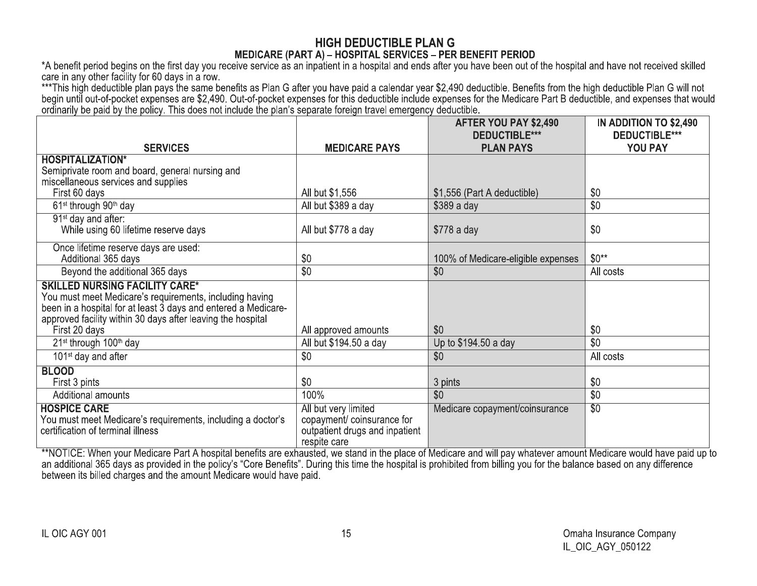| *A benefit period begins on the first day you receive service as an inpatient in a hospital and ends after you have been out of the hospital and have not received skilled<br>care in any other facility for 60 days in a row.<br>***This high deductible plan pays the same benefits as Plan G after you have paid a calendar year \$2,490 deductible. Benefits from the high deductible Plan G will not<br>begin until out-of-pocket expenses are \$2,490. Out-of-pocket expenses for this deductible include expenses for the Medicare Part B deductible, and expenses that would | MEDICARE (PART A) - HOSPITAL SERVICES - PER BENEFIT PERIOD                                          |                                               |                                                |
|--------------------------------------------------------------------------------------------------------------------------------------------------------------------------------------------------------------------------------------------------------------------------------------------------------------------------------------------------------------------------------------------------------------------------------------------------------------------------------------------------------------------------------------------------------------------------------------|-----------------------------------------------------------------------------------------------------|-----------------------------------------------|------------------------------------------------|
| ordinarily be paid by the policy. This does not include the plan's separate foreign travel emergency deductible.                                                                                                                                                                                                                                                                                                                                                                                                                                                                     |                                                                                                     | AFTER YOU PAY \$2,490<br><b>DEDUCTIBLE***</b> | IN ADDITION TO \$2,490<br><b>DEDUCTIBLE***</b> |
| <b>SERVICES</b>                                                                                                                                                                                                                                                                                                                                                                                                                                                                                                                                                                      | <b>MEDICARE PAYS</b>                                                                                | <b>PLAN PAYS</b>                              | YOU PAY                                        |
| <b>HOSPITALIZATION*</b><br>Semiprivate room and board, general nursing and<br>miscellaneous services and supplies                                                                                                                                                                                                                                                                                                                                                                                                                                                                    |                                                                                                     |                                               |                                                |
| First 60 days                                                                                                                                                                                                                                                                                                                                                                                                                                                                                                                                                                        | All but \$1,556                                                                                     | \$1,556 (Part A deductible)                   | \$0                                            |
| 61 <sup>st</sup> through 90 <sup>th</sup> day<br>91 <sup>st</sup> day and after:                                                                                                                                                                                                                                                                                                                                                                                                                                                                                                     | All but \$389 a day                                                                                 | \$389 a day                                   | \$0                                            |
| While using 60 lifetime reserve days                                                                                                                                                                                                                                                                                                                                                                                                                                                                                                                                                 | All but \$778 a day                                                                                 | \$778 a day                                   | \$0                                            |
| Once lifetime reserve days are used:<br>Additional 365 days                                                                                                                                                                                                                                                                                                                                                                                                                                                                                                                          | \$0                                                                                                 | 100% of Medicare-eligible expenses            | $$0**$                                         |
| Beyond the additional 365 days                                                                                                                                                                                                                                                                                                                                                                                                                                                                                                                                                       | \$0                                                                                                 | \$0                                           | All costs                                      |
| <b>SKILLED NURSING FACILITY CARE*</b><br>You must meet Medicare's requirements, including having<br>been in a hospital for at least 3 days and entered a Medicare-<br>approved facility within 30 days after leaving the hospital<br>First 20 days                                                                                                                                                                                                                                                                                                                                   | All approved amounts                                                                                | \$0                                           | \$0                                            |
| 21 <sup>st</sup> through 100 <sup>th</sup> day                                                                                                                                                                                                                                                                                                                                                                                                                                                                                                                                       | All but \$194.50 a day                                                                              | Up to \$194.50 a day                          | \$0                                            |
| 101 <sup>st</sup> day and after                                                                                                                                                                                                                                                                                                                                                                                                                                                                                                                                                      | \$0                                                                                                 | \$0                                           | All costs                                      |
| <b>BLOOD</b><br>First 3 pints                                                                                                                                                                                                                                                                                                                                                                                                                                                                                                                                                        | \$0                                                                                                 | 3 pints                                       | \$0                                            |
| Additional amounts                                                                                                                                                                                                                                                                                                                                                                                                                                                                                                                                                                   | 100%                                                                                                | \$0                                           | $\overline{$0$}$                               |
| <b>HOSPICE CARE</b><br>You must meet Medicare's requirements, including a doctor's<br>certification of terminal illness                                                                                                                                                                                                                                                                                                                                                                                                                                                              | All but very limited<br>copayment/coinsurance for<br>outpatient drugs and inpatient<br>respite care | Medicare copayment/coinsurance                | $\sqrt{60}$                                    |

certification of terminal illness<br>
\*\*NOTICE: When your Medican<br>
an additional 365 days as pro<br>
between its billed charges and<br>
IL OIC AGY 001 certification of terminal illness<br>
\*\*NOTICE: When your Medicare F<br>an additional 365 days as provide<br>between its billed charges and the<br>IL OIC AGY 001 certification of terminal illness<br>
\*\*NOTICE: When your Medicare Part A<br>
an additional 365 days as provided in th<br>
between its billed charges and the amor<br>
IL OIC AGY 001 ertification of terminal illness<br>
\*\*NOTICE: When your Medicare Part A hospital benefits are exhausted, we stand in the place of Medicare<br>
an additional 365 days as provided in the policy's "Core Benefits". During this time trand in the place of Medicare and will pay whatever amount Medicare would have paid up to<br>stime the hospital is prohibited from billing you for the balance based on any difference<br>5<br>5<br>Comaha Insurance Company<br>IL\_OIC\_AGY\_0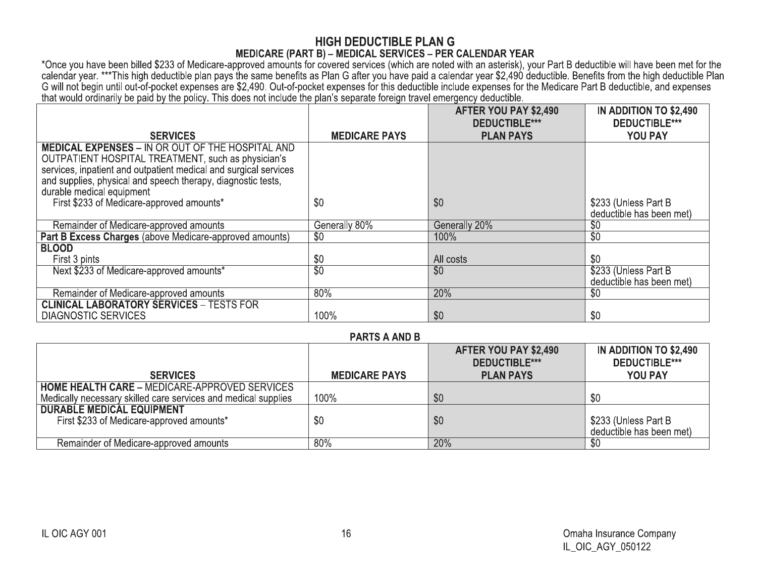| *Once you have been billed \$233 of Medicare-approved amounts for covered services (which are noted with an asterisk), your Part B deductible will have been met for the<br>calendar year. ***This high deductible plan pays the same benefits as Plan G after you have paid a calendar year \$2,490 deductible. Benefits from the high deductible Plan |                        | <b>MEDICARE (PART B) - MEDICAL SERVICES - PER CALENDAR YEAR</b>                                                                                                         |                                                           |
|---------------------------------------------------------------------------------------------------------------------------------------------------------------------------------------------------------------------------------------------------------------------------------------------------------------------------------------------------------|------------------------|-------------------------------------------------------------------------------------------------------------------------------------------------------------------------|-----------------------------------------------------------|
| that would ordinarily be paid by the policy. This does not include the plan's separate foreign travel emergency deductible.                                                                                                                                                                                                                             |                        | G will not begin until out-of-pocket expenses are \$2,490. Out-of-pocket expenses for this deductible include expenses for the Medicare Part B deductible, and expenses |                                                           |
| <b>SERVICES</b>                                                                                                                                                                                                                                                                                                                                         | <b>MEDICARE PAYS</b>   | AFTER YOU PAY \$2,490<br><b>DEDUCTIBLE***</b><br><b>PLAN PAYS</b>                                                                                                       | IN ADDITION TO \$2,490<br><b>DEDUCTIBLE***</b><br>YOU PAY |
| <b>MEDICAL EXPENSES - IN OR OUT OF THE HOSPITAL AND</b><br>OUTPATIENT HOSPITAL TREATMENT, such as physician's<br>services, inpatient and outpatient medical and surgical services<br>and supplies, physical and speech therapy, diagnostic tests,<br>durable medical equipment                                                                          |                        |                                                                                                                                                                         |                                                           |
| First \$233 of Medicare-approved amounts*                                                                                                                                                                                                                                                                                                               | \$0                    | \$0                                                                                                                                                                     | \$233 (Unless Part B)<br>deductible has been met)         |
| Remainder of Medicare-approved amounts                                                                                                                                                                                                                                                                                                                  | Generally 80%          | Generally 20%                                                                                                                                                           | \$0                                                       |
| Part B Excess Charges (above Medicare-approved amounts)                                                                                                                                                                                                                                                                                                 | $\overline{50}$        | 100%                                                                                                                                                                    | $\overline{50}$                                           |
| <b>BLOOD</b>                                                                                                                                                                                                                                                                                                                                            |                        |                                                                                                                                                                         |                                                           |
| First 3 pints<br>Next \$233 of Medicare-approved amounts*                                                                                                                                                                                                                                                                                               | \$0<br>$\overline{50}$ | All costs<br>\$0                                                                                                                                                        | \$0<br>\$233 (Unless Part B)                              |
|                                                                                                                                                                                                                                                                                                                                                         | 80%                    | 20%                                                                                                                                                                     | deductible has been met)<br>$\overline{30}$               |
| Remainder of Medicare-approved amounts<br><b>CLINICAL LABORATORY SERVICES - TESTS FOR</b>                                                                                                                                                                                                                                                               |                        |                                                                                                                                                                         |                                                           |
| <b>DIAGNOSTIC SERVICES</b>                                                                                                                                                                                                                                                                                                                              | 100%                   | \$0                                                                                                                                                                     | \$0                                                       |
|                                                                                                                                                                                                                                                                                                                                                         | <b>PARTS A AND B</b>   |                                                                                                                                                                         |                                                           |
|                                                                                                                                                                                                                                                                                                                                                         |                        | AFTER YOU PAY \$2,490<br><b>DEDUCTIBLE***</b>                                                                                                                           | IN ADDITION TO \$2,490<br><b>DEDUCTIBLE***</b>            |
| <b>SERVICES</b>                                                                                                                                                                                                                                                                                                                                         | <b>MEDICARE PAYS</b>   | <b>PLAN PAYS</b>                                                                                                                                                        | YOU PAY                                                   |
| <b>HOME HEALTH CARE - MEDICARE-APPROVED SERVICES</b><br>Medically necessary skilled care services and medical supplies                                                                                                                                                                                                                                  | 100%                   | \$0                                                                                                                                                                     | \$0                                                       |
| <b>DURABLE MEDICAL EQUIPMENT</b><br>First \$233 of Medicare-approved amounts*                                                                                                                                                                                                                                                                           | \$0                    | \$0                                                                                                                                                                     | \$233 (Unless Part B<br>deductible has been met)          |
| Remainder of Medicare-approved amounts                                                                                                                                                                                                                                                                                                                  | 80%                    | 20%                                                                                                                                                                     | $\overline{30}$                                           |

| Remainder of Medicare-approved amounts                                                                                 | 80%                  | 20%                                           | $\overline{50}$                                  |
|------------------------------------------------------------------------------------------------------------------------|----------------------|-----------------------------------------------|--------------------------------------------------|
| <b>CLINICAL LABORATORY SERVICES - TESTS FOR</b>                                                                        |                      |                                               |                                                  |
| <b>DIAGNOSTIC SERVICES</b>                                                                                             | 100%                 | \$0                                           | \$0                                              |
|                                                                                                                        | <b>PARTS A AND B</b> |                                               |                                                  |
|                                                                                                                        |                      | AFTER YOU PAY \$2,490<br><b>DEDUCTIBLE***</b> | IN ADDITION TO \$2,490<br><b>DEDUCTIBLE***</b>   |
| <b>SERVICES</b>                                                                                                        | <b>MEDICARE PAYS</b> | <b>PLAN PAYS</b>                              | YOU PAY                                          |
| <b>HOME HEALTH CARE - MEDICARE-APPROVED SERVICES</b><br>Medically necessary skilled care services and medical supplies | 100%                 | \$0                                           | \$0                                              |
| <b>DURABLE MEDICAL EQUIPMENT</b>                                                                                       |                      |                                               |                                                  |
| First \$233 of Medicare-approved amounts*                                                                              | \$0                  | \$0                                           | \$233 (Unless Part B<br>deductible has been met) |
| Remainder of Medicare-approved amounts                                                                                 | 80%                  | 20%                                           | $\overline{50}$                                  |
|                                                                                                                        |                      |                                               |                                                  |
| IL OIC AGY 001                                                                                                         | 16                   |                                               | Omaha Insurance Company<br>IL_OIC_AGY_050122     |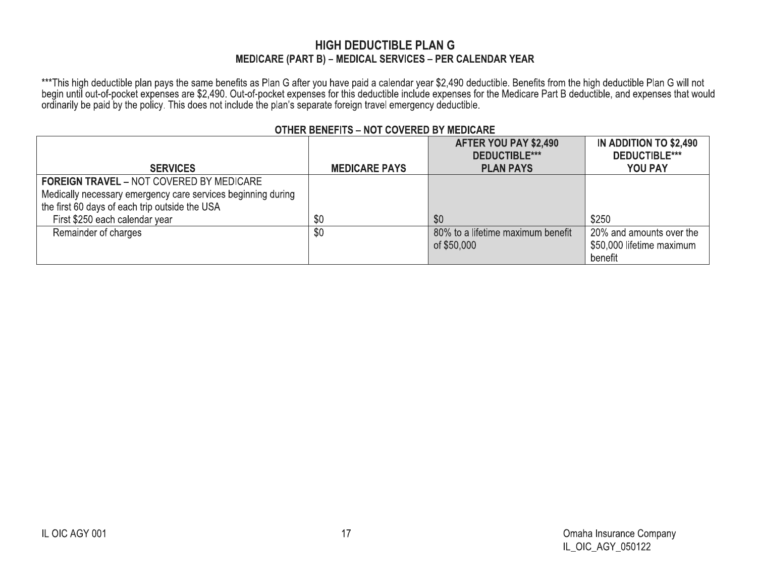## **HIGH DEDUCTIBLE PLAN G** MEDICARE (PART B) - MEDICAL SERVICES - PER CALENDAR YEAR

\*\*\*This high deductible plan pays the same benefits as Plan G after you have paid a calendar year \$2,490 deductible. Benefits from the high deductible Plan G will not<br>begin until out-of-pocket expenses are \$2,490. Out-of-p

|                                                              |                      | AFTER YOU PAY \$2,490             | <b>IN ADDITION TO \$2,490</b> |
|--------------------------------------------------------------|----------------------|-----------------------------------|-------------------------------|
|                                                              |                      | <b>DEDUCTIBLE***</b>              | <b>DEDUCTIBLE***</b>          |
| <b>SERVICES</b>                                              | <b>MEDICARE PAYS</b> | <b>PLAN PAYS</b>                  | <b>YOU PAY</b>                |
| <b>FOREIGN TRAVEL - NOT COVERED BY MEDICARE</b>              |                      |                                   |                               |
| Medically necessary emergency care services beginning during |                      |                                   |                               |
| the first 60 days of each trip outside the USA               |                      |                                   |                               |
| First \$250 each calendar year                               | \$0                  | \$0                               | \$250                         |
| Remainder of charges                                         | \$0                  | 80% to a lifetime maximum benefit | 20% and amounts over the      |
|                                                              |                      | of \$50,000                       | \$50,000 lifetime maximum     |
|                                                              |                      |                                   | benefit                       |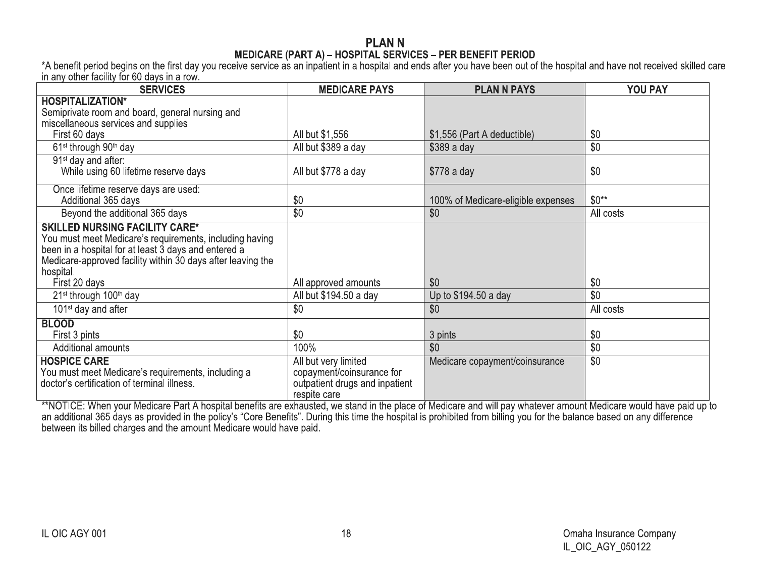# **PLANN**

MEDICARE (PART A) – HOSPITAL SERVICES – PER BENEFIT PERIOD<br>A benefit period begins on the first day you receive service as an inpatient in a hospital and ends after you have been out of the hospital and have not received s in any other facility for 60 days in a row.

| <b>SERVICES</b>                                             | <b>MEDICARE PAYS</b>           | <b>PLAN N PAYS</b>                 | YOU PAY         |
|-------------------------------------------------------------|--------------------------------|------------------------------------|-----------------|
| <b>HOSPITALIZATION*</b>                                     |                                |                                    |                 |
| Semiprivate room and board, general nursing and             |                                |                                    |                 |
| miscellaneous services and supplies                         |                                |                                    |                 |
| First 60 days                                               | All but \$1,556                | \$1,556 (Part A deductible)        | \$0             |
| 61 <sup>st</sup> through 90 <sup>th</sup> day               | All but \$389 a day            | $$389a$ day                        | \$0             |
| 91 <sup>st</sup> day and after:                             |                                |                                    |                 |
| While using 60 lifetime reserve days                        | All but \$778 a day            | $$778a$ day                        | \$0             |
| Once lifetime reserve days are used:                        |                                |                                    |                 |
| Additional 365 days                                         | \$0                            | 100% of Medicare-eligible expenses | $$0**$          |
| Beyond the additional 365 days                              | \$0                            | \$0                                | All costs       |
| <b>SKILLED NURSING FACILITY CARE*</b>                       |                                |                                    |                 |
| You must meet Medicare's requirements, including having     |                                |                                    |                 |
| been in a hospital for at least 3 days and entered a        |                                |                                    |                 |
| Medicare-approved facility within 30 days after leaving the |                                |                                    |                 |
| hospital.                                                   |                                |                                    |                 |
| First 20 days                                               | All approved amounts           | \$0                                | \$0             |
| 21 <sup>st</sup> through 100 <sup>th</sup> day              | All but \$194.50 a day         | Up to \$194.50 a day               | \$0             |
| 101 <sup>st</sup> day and after                             | \$0                            | \$0                                | All costs       |
| <b>BLOOD</b>                                                |                                |                                    |                 |
| First 3 pints                                               | \$0                            | 3 pints                            | \$0             |
| Additional amounts                                          | 100%                           | \$0                                | \$0             |
| <b>HOSPICE CARE</b>                                         | All but very limited           | Medicare copayment/coinsurance     | $\overline{50}$ |
| You must meet Medicare's requirements, including a          | copayment/coinsurance for      |                                    |                 |
| doctor's certification of terminal illness.                 | outpatient drugs and inpatient |                                    |                 |
|                                                             | respite care                   |                                    |                 |

A Anti-Alter the place of Medicare Part A hospital benefits are exhausted, we stand in the place of Medicare and will pay whatever amount Medicare would have paid up to<br>an additional 365 days as provided in the policy's "C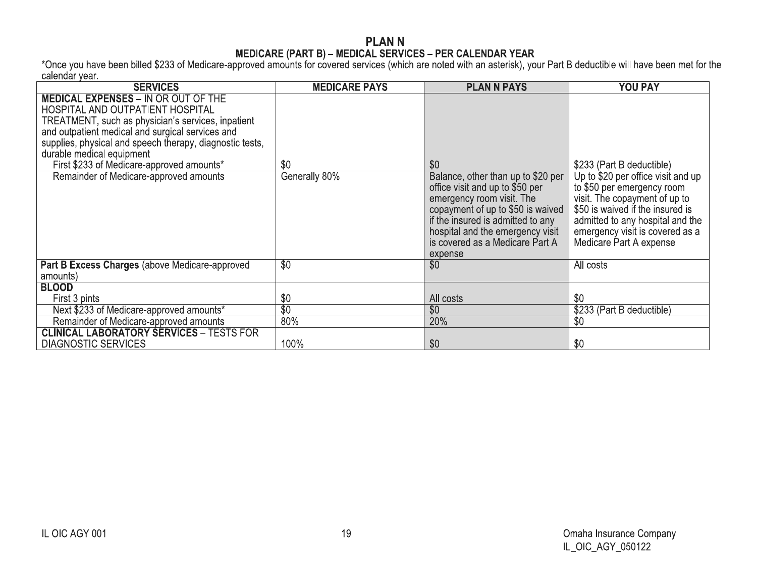# **PLANN**

MEDICARE (PART B) – MEDICAL SERVICES – PER CALENDAR YEAR<br>Calendar year.<br>Calendar year.

| <b>SERVICES</b>                                                                                                                                                                                                                                                                                                                                                          | <b>MEDICARE PAYS</b> | <b>PLAN N PAYS</b>                                                                                                                                                                                                                                                    | <b>YOU PAY</b>                                                                                                                                                                                                                                                       |
|--------------------------------------------------------------------------------------------------------------------------------------------------------------------------------------------------------------------------------------------------------------------------------------------------------------------------------------------------------------------------|----------------------|-----------------------------------------------------------------------------------------------------------------------------------------------------------------------------------------------------------------------------------------------------------------------|----------------------------------------------------------------------------------------------------------------------------------------------------------------------------------------------------------------------------------------------------------------------|
| <b>MEDICAL EXPENSES - IN OR OUT OF THE</b><br>HOSPITAL AND OUTPATIENT HOSPITAL<br>TREATMENT, such as physician's services, inpatient<br>and outpatient medical and surgical services and<br>supplies, physical and speech therapy, diagnostic tests,<br>durable medical equipment<br>First \$233 of Medicare-approved amounts*<br>Remainder of Medicare-approved amounts | \$0<br>Generally 80% | \$0<br>Balance, other than up to \$20 per<br>office visit and up to \$50 per<br>emergency room visit. The<br>copayment of up to \$50 is waived<br>if the insured is admitted to any<br>hospital and the emergency visit<br>is covered as a Medicare Part A<br>expense | \$233 (Part B deductible)<br>Up to \$20 per office visit and up<br>to \$50 per emergency room<br>visit. The copayment of up to<br>\$50 is waived if the insured is<br>admitted to any hospital and the<br>emergency visit is covered as a<br>Medicare Part A expense |
| Part B Excess Charges (above Medicare-approved<br>amounts)                                                                                                                                                                                                                                                                                                               | $\overline{50}$      | \$0                                                                                                                                                                                                                                                                   | All costs                                                                                                                                                                                                                                                            |
| <b>BLOOD</b>                                                                                                                                                                                                                                                                                                                                                             |                      |                                                                                                                                                                                                                                                                       |                                                                                                                                                                                                                                                                      |
| First 3 pints                                                                                                                                                                                                                                                                                                                                                            | \$0                  | All costs                                                                                                                                                                                                                                                             | \$0                                                                                                                                                                                                                                                                  |
| Next \$233 of Medicare-approved amounts*                                                                                                                                                                                                                                                                                                                                 | $\overline{30}$      | \$0                                                                                                                                                                                                                                                                   | \$233 (Part B deductible)                                                                                                                                                                                                                                            |
| Remainder of Medicare-approved amounts                                                                                                                                                                                                                                                                                                                                   | 80%                  | 20%                                                                                                                                                                                                                                                                   | \$0                                                                                                                                                                                                                                                                  |
| <b>CLINICAL LABORATORY SERVICES - TESTS FOR</b><br><b>DIAGNOSTIC SERVICES</b>                                                                                                                                                                                                                                                                                            | 100%                 | \$0                                                                                                                                                                                                                                                                   | \$0                                                                                                                                                                                                                                                                  |